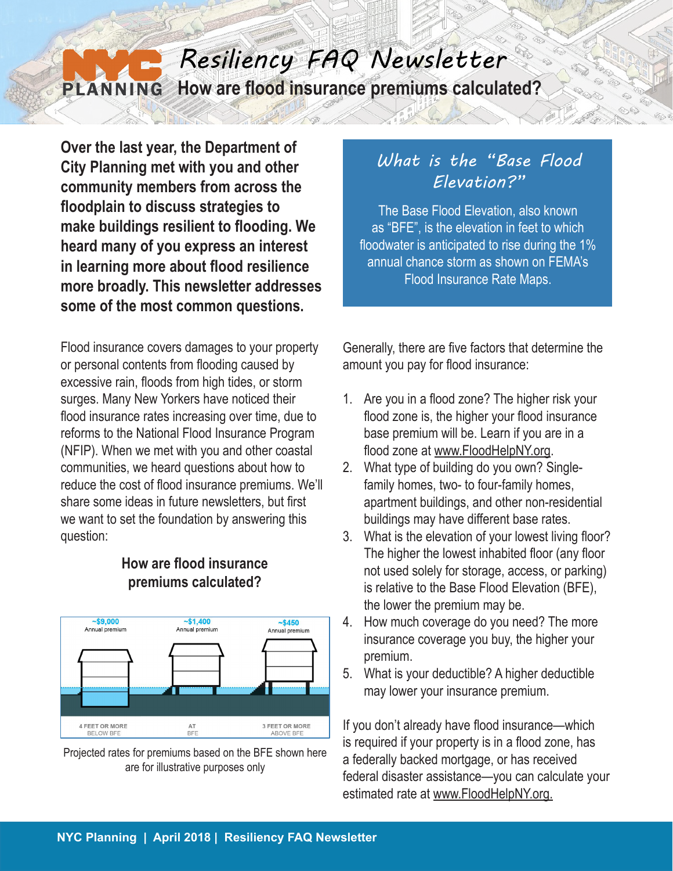### *Resiliency FAQ Newsletter* **How are flood insurance premiums calculated? PLANNING**

**Over the last year, the Department of City Planning met with you and other community members from across the floodplain to discuss strategies to make buildings resilient to flooding. We heard many of you express an interest in learning more about flood resilience more broadly. This newsletter addresses some of the most common questions.**

Flood insurance covers damages to your property or personal contents from flooding caused by excessive rain, floods from high tides, or storm surges. Many New Yorkers have noticed their flood insurance rates increasing over time, due to reforms to the National Flood Insurance Program (NFIP). When we met with you and other coastal communities, we heard questions about how to reduce the cost of flood insurance premiums. We'll share some ideas in future newsletters, but first we want to set the foundation by answering this question:



#### **How are flood insurance premiums calculated?**

Projected rates for premiums based on the BFE shown here are for illustrative purposes only

# *What is the "Base Flood Elevation?"*

The Base Flood Elevation, also known as "BFE", is the elevation in feet to which floodwater is anticipated to rise during the 1% annual chance storm as shown on FEMA's Flood Insurance Rate Maps.

Generally, there are five factors that determine the amount you pay for flood insurance:

- 1. Are you in a flood zone? The higher risk your flood zone is, the higher your flood insurance base premium will be. Learn if you are in a flood zone at www.FloodHelpNY.org.
- 2. What type of building do you own? Singlefamily homes, two- to four-family homes, apartment buildings, and other non-residential buildings may have different base rates.
- 3. What is the elevation of your lowest living floor? The higher the lowest inhabited floor (any floor not used solely for storage, access, or parking) is relative to the Base Flood Elevation (BFE), the lower the premium may be.
- 4. How much coverage do you need? The more insurance coverage you buy, the higher your premium.
- 5. What is your deductible? A higher deductible may lower your insurance premium.

If you don't already have flood insurance—which is required if your property is in a flood zone, has a federally backed mortgage, or has received federal disaster assistance—you can calculate your estimated rate at www.FloodHelpNY.org.